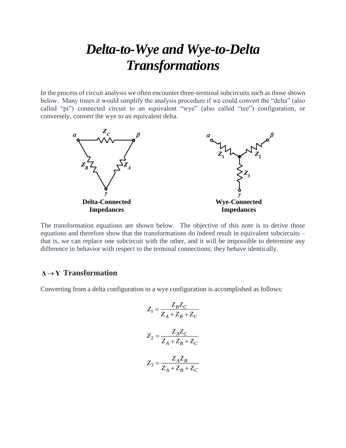# *Delta-to-Wye and Wye-to-Delta Transformations*

In the process of circuit analysis we often encounter three-terminal subcircuits such as those shown below. Many times it would simplify the analysis procedure if we could convert the "delta" (also called "pi") connected circuit to an equivalent "wye" (also called "tee") configuration, or conversely, convert the wye to an equivalent delta.



The transformation equations are shown below. The objective of this note is to derive those equations and therefore show that the transformations do indeed result in equivalent subcircuits – that is, we can replace one subcircuit with the other, and it will be impossible to determine any difference in behavior with respect to the terminal connections; they behave identically.

# **Δ Y** → **Transformation**

Converting from a delta configuration to a wye configuration is accomplished as follows:

$$
Z_1 = \frac{Z_B Z_C}{Z_A + Z_B + Z_C}
$$

$$
Z_2 = \frac{Z_A Z_C}{Z_A + Z_B + Z_C}
$$

$$
Z_3 = \frac{Z_A Z_B}{Z_A + Z_B + Z_C}
$$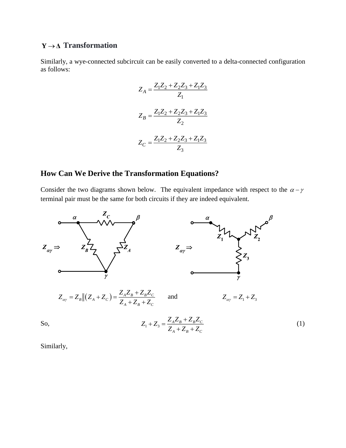# **Y** →**Δ Transformation**

Similarly, a wye-connected subcircuit can be easily converted to a delta-connected configuration as follows:

$$
Z_A = \frac{Z_1 Z_2 + Z_2 Z_3 + Z_1 Z_3}{Z_1}
$$

$$
Z_B = \frac{Z_1 Z_2 + Z_2 Z_3 + Z_1 Z_3}{Z_2}
$$

$$
Z_C = \frac{Z_1 Z_2 + Z_2 Z_3 + Z_1 Z_3}{Z_3}
$$

# **How Can We Derive the Transformation Equations?**

Consider the two diagrams shown below. The equivalent impedance with respect to the  $\alpha - \gamma$ terminal pair must be the same for both circuits if they are indeed equivalent.



Similarly,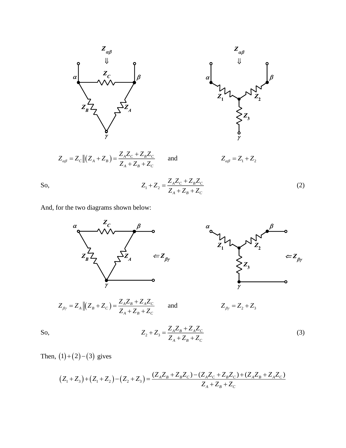



$$
Z_{\alpha\beta} = Z_C ||(Z_A + Z_B) = \frac{Z_A Z_C + Z_B Z_C}{Z_A + Z_B + Z_C}
$$



So, 
$$
Z_1 + Z_2 = \frac{Z_A Z_C + Z_B Z_C}{Z_A + Z_B + Z_C}
$$
(2)

and

And, for the two diagrams shown below:



So, 
$$
Z_2 + Z_3 = \frac{Z_A Z_B + Z_A Z_C}{Z_A + Z_B + Z_C}
$$
(3)

Then,  $(1)+(2)-(3)$  gives

$$
(Z_1 + Z_3) + (Z_1 + Z_2) - (Z_2 + Z_3) = \frac{(Z_A Z_B + Z_B Z_C) - (Z_A Z_C + Z_B Z_C) + (Z_A Z_B + Z_A Z_C)}{Z_A + Z_B + Z_C}
$$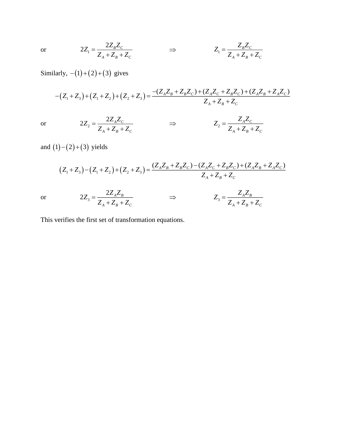$$
2Z_1 = \frac{2Z_BZ_C}{Z_A + Z_B + Z_C} \qquad \Rightarrow \qquad Z_1 = \frac{Z_BZ_C}{Z_A + Z_B + Z_C}
$$

 $=\frac{ZZ_{A}+Z_{C}}{Z_{A}+Z_{B}+Z_{C}}$   $\Rightarrow$   $Z_{2}$ 

Similarly,  $-(1)+(2)+(3)$  gives

2

 $2Z_2 = \frac{2Z_A Z_c}{Z}$ 

 $Z_2 = \frac{2Z_A Z}{Z}$ 

 $_{A}$  +  $L_{B}$  +  $L_{C}$ 

 $Z_A + Z_B + Z$ 

$$
-(Z_1 + Z_3) + (Z_1 + Z_2) + (Z_2 + Z_3) = \frac{-(Z_A Z_B + Z_B Z_C) + (Z_A Z_C + Z_B Z_C) + (Z_A Z_B + Z_A Z_C)}{Z_A + Z_B + Z_C}
$$

 $A^{\scriptscriptstyle \prime\prime\prime}$  $A \cdot Z_B \cdot Z_C$ 

 $Z_{\rm a} = \frac{Z_{\rm a} Z}{\sqrt{2}}$  $=\frac{Z_{1}+Z_{2}+Z_{3}}{Z_{1}+Z_{2}+Z_{3}}$ 

or

or

and  $(1) - (2) + (3)$  yields

$$
(Z_1 + Z_3) - (Z_1 + Z_2) + (Z_2 + Z_3) = \frac{(Z_A Z_B + Z_B Z_C) - (Z_A Z_C + Z_B Z_C) + (Z_A Z_B + Z_A Z_C)}{Z_A + Z_B + Z_C}
$$
  

$$
2Z_3 = \frac{2Z_A Z_B}{Z_A + Z_B + Z_C} \implies Z_3 = \frac{Z_A Z_B}{Z_A + Z_B + Z_C}
$$

or

This verifies the first set of transformation equations.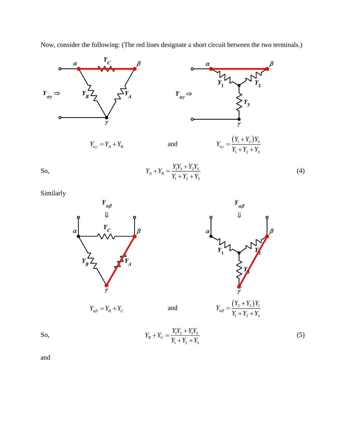



So, 
$$
Y_A + Y_B = \frac{Y_1 Y_3 + Y_2 Y_3}{Y_1 + Y_2 + Y_3}
$$
(4)

Similarly





So,

 $1^{\bullet}2^{\circ}$  1  $^{\bullet}1^{\bullet}3$  $1 + 2 + 3$  $Y_B + Y_C = \frac{Y_1 Y_2 + Y_1 Y_3}{Y}$  $Y_{i} + Y_{i} + Y_{i}$  $+Y_c = \frac{Y_1 Y_2 + Y_3}{Y_1 Y_2 + Y_3}$  $+ Y_{\circ} +$ (5)

and

and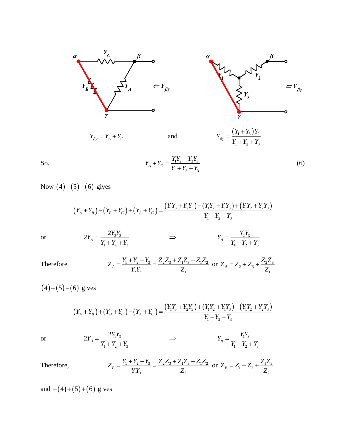



So, 
$$
Y_A + Y_C = \frac{Y_1 Y_2 + Y_2 Y_3}{Y_1 + Y_2 + Y_3}
$$
(6)

Now (4)–(5)+(6) gives  
\n
$$
(Y_A + Y_B) - (Y_B + Y_C) + (Y_A + Y_C) = \frac{(Y_1Y_3 + Y_2Y_3) - (Y_1Y_2 + Y_1Y_3) + (Y_1Y_2 + Y_2Y_3)}{Y_1 + Y_2 + Y_3}
$$

$$
2Y_A = \frac{2Y_2Y_3}{Y_1 + Y_2 + Y_3} \qquad \qquad \Rightarrow \qquad \qquad Y_A = \frac{Y_2Y_3}{Y_1 + Y_2 + Y_3}
$$

Therefore, 
$$
Z_A = \frac{Y_1 + Y_2 + Y_3}{Y_2 Y_3} = \frac{Z_2 Z_3 + Z_1 Z_3 + Z_1 Z_2}{Z_1} \text{ or } Z_A = Z_2 + Z_3 + \frac{Z_2 Z_3}{Z_1}
$$

$$
(4)+(5)-(6)
$$
 gives

6) gives  
\n
$$
(Y_A + Y_B) + (Y_B + Y_C) - (Y_A + Y_C) = \frac{(Y_1Y_3 + Y_2Y_3) + (Y_1Y_2 + Y_1Y_3) - (Y_1Y_2 + Y_2Y_3)}{Y_1 + Y_2 + Y_3}
$$

or

or

$$
2Y_B = \frac{2Y_1Y_3}{Y_1 + Y_2 + Y_3} \qquad \qquad \Rightarrow \qquad \qquad Y_B = \frac{Y_1Y_3}{Y_1 + Y_2 + Y_3}
$$

Therefore, 
$$
Z_B = \frac{Y_1 + Y_2 + Y_3}{Y_1 Y_3} = \frac{Z_2 Z_3 + Z_1 Z_3 + Z_1 Z_2}{Z_2} \text{ or } Z_B = Z_1 + Z_3 + \frac{Z_1 Z_3}{Z_2}
$$

and  $-(4)+(5)+(6)$  gives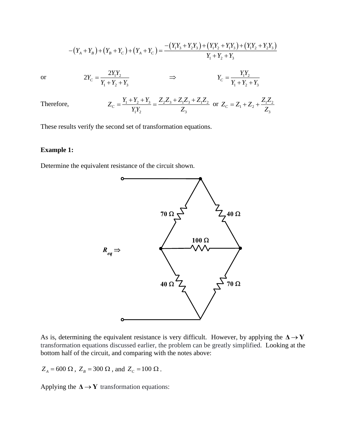$$
-(Y_A + Y_B) + (Y_B + Y_C) + (Y_A + Y_C) = \frac{-(Y_1Y_3 + Y_2Y_3) + (Y_1Y_2 + Y_1Y_3) + (Y_1Y_2 + Y_2Y_3)}{Y_1 + Y_2 + Y_3}
$$

or

$$
2Y_C = \frac{2Y_1Y_2}{Y_1 + Y_2 + Y_3} \qquad \qquad \Rightarrow \qquad \qquad Y_C = \frac{Y_1Y_2}{Y_1 + Y_2 + Y_3}
$$

Therefore, 
$$
Z_C = \frac{Y_1 + Y_2 + Y_3}{Y_1 Y_2} = \frac{Z_2 Z_3 + Z_1 Z_3 + Z_1 Z_2}{Z_3} \text{ or } Z_C = Z_1 + Z_2 + \frac{Z_1 Z_2}{Z_3}
$$

These results verify the second set of transformation equations.

#### **Example 1:**

Determine the equivalent resistance of the circuit shown.



As is, determining the equivalent resistance is very difficult. However, by applying the  $\Delta \rightarrow Y$ transformation equations discussed earlier, the problem can be greatly simplified. Looking at the bottom half of the circuit, and comparing with the notes above:

 $Z_A = 600 \Omega$ ,  $Z_B = 300 \Omega$ , and  $Z_C = 100 \Omega$ .

Applying the  $\Delta \rightarrow Y$  transformation equations: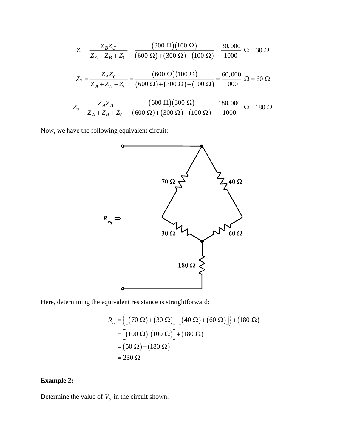$$
Z_1 = \frac{Z_B Z_C}{Z_A + Z_B + Z_C} = \frac{(300 \ \Omega)(100 \ \Omega)}{(600 \ \Omega) + (300 \ \Omega) + (100 \ \Omega)} = \frac{30,000}{1000} \ \Omega = 30 \ \Omega
$$

$$
Z_2 = \frac{Z_A Z_C}{Z_A + Z_B + Z_C} = \frac{(600 \ \Omega)(100 \ \Omega)}{(600 \ \Omega) + (300 \ \Omega) + (100 \ \Omega)} = \frac{60,000}{1000} \ \Omega = 60 \ \Omega
$$

$$
Z_3 = \frac{Z_A Z_B}{Z_A + Z_B + Z_C} = \frac{(600 \ \Omega)(300 \ \Omega)}{(600 \ \Omega) + (300 \ \Omega) + (100 \ \Omega)} = \frac{180,000}{1000} \ \Omega = 180 \ \Omega
$$

Now, we have the following equivalent circuit:



Here, determining the equivalent resistance is straightforward:

$$
R_{eq} = \left\{ \left[ (70 \ \Omega) + (30 \ \Omega) \right] \middle\| \left[ (40 \ \Omega) + (60 \ \Omega) \right] \right\} + (180 \ \Omega)
$$
  
= 
$$
\left[ (100 \ \Omega) \middle\| (100 \ \Omega) \right] + (180 \ \Omega)
$$
  
= 
$$
(50 \ \Omega) + (180 \ \Omega)
$$
  
= 230 \ \Omega

# **Example 2:**

Determine the value of  $V$ <sup> $\sigma$ </sup> in the circuit shown.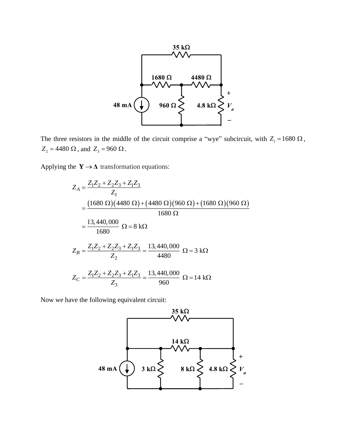

The three resistors in the middle of the circuit comprise a "wye" subcircuit, with  $Z_1 = 1680 \Omega$ ,  $Z_2 = 4480 \Omega$ , and  $Z_3 = 960 \Omega$ .

Applying the  $Y \rightarrow \Delta$  transformation equations:

$$
Z_{A} = \frac{Z_{1}Z_{2} + Z_{2}Z_{3} + Z_{1}Z_{3}}{Z_{1}}
$$
  
= 
$$
\frac{(1680 \Omega)(4480 \Omega) + (4480 \Omega)(960 \Omega) + (1680 \Omega)(960 \Omega)}{1680 \Omega}
$$
  
= 
$$
\frac{13,440,000}{1680} \Omega = 8 \text{ k}\Omega
$$
  

$$
Z_{B} = \frac{Z_{1}Z_{2} + Z_{2}Z_{3} + Z_{1}Z_{3}}{Z_{2}} = \frac{13,440,000}{4480} \Omega = 3 \text{ k}\Omega
$$
  

$$
Z_{C} = \frac{Z_{1}Z_{2} + Z_{2}Z_{3} + Z_{1}Z_{3}}{Z_{3}} = \frac{13,440,000}{960} \Omega = 14 \text{ k}\Omega
$$

Now we have the following equivalent circuit: